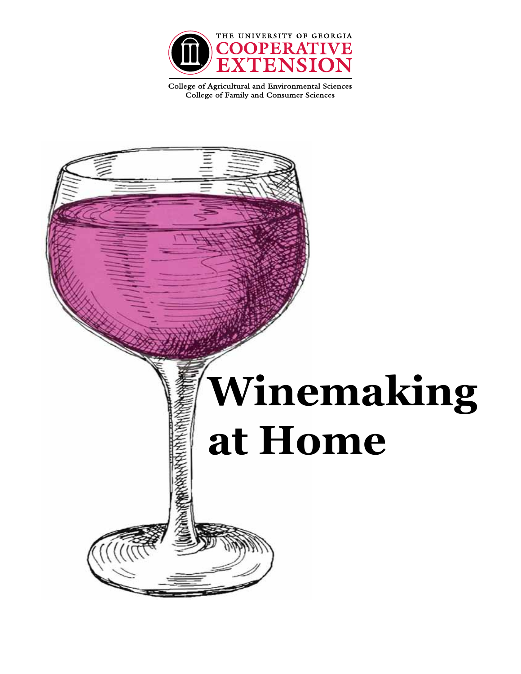

College of Agricultural and Environmental Sciences College of Family and Consumer Sciences

# **Winemaking at Home**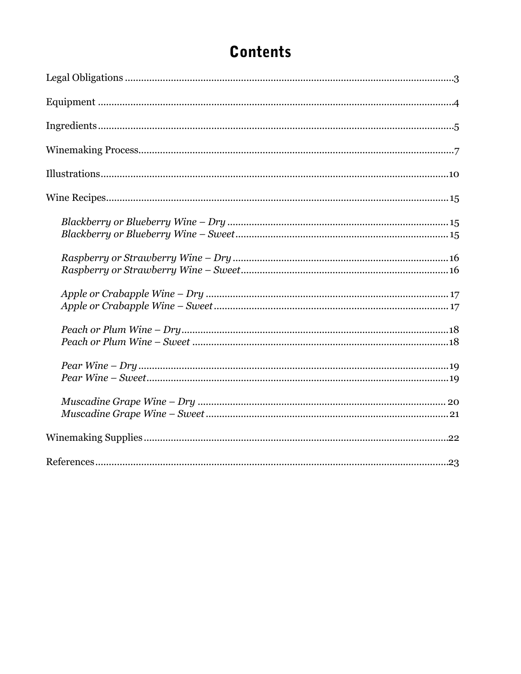#### **Contents**

| $\emph{Peach or Plum Wine-Dry\emph{18}}$ |
|------------------------------------------|
|                                          |
|                                          |
|                                          |
|                                          |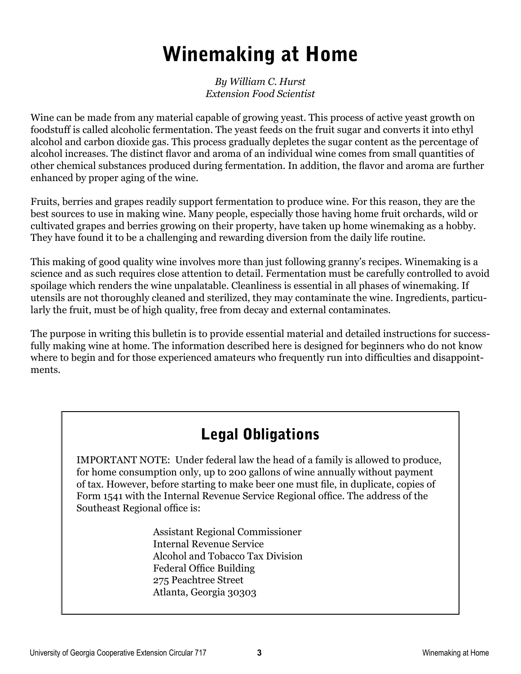### Winemaking at Home

*By William C. Hurst Extension Food Scientist*

Wine can be made from any material capable of growing yeast. This process of active yeast growth on foodstuff is called alcoholic fermentation. The yeast feeds on the fruit sugar and converts it into ethyl alcohol and carbon dioxide gas. This process gradually depletes the sugar content as the percentage of alcohol increases. The distinct flavor and aroma of an individual wine comes from small quantities of other chemical substances produced during fermentation. In addition, the flavor and aroma are further enhanced by proper aging of the wine.

Fruits, berries and grapes readily support fermentation to produce wine. For this reason, they are the best sources to use in making wine. Many people, especially those having home fruit orchards, wild or cultivated grapes and berries growing on their property, have taken up home winemaking as a hobby. They have found it to be a challenging and rewarding diversion from the daily life routine.

This making of good quality wine involves more than just following granny's recipes. Winemaking is a science and as such requires close attention to detail. Fermentation must be carefully controlled to avoid spoilage which renders the wine unpalatable. Cleanliness is essential in all phases of winemaking. If utensils are not thoroughly cleaned and sterilized, they may contaminate the wine. Ingredients, particularly the fruit, must be of high quality, free from decay and external contaminates.

The purpose in writing this bulletin is to provide essential material and detailed instructions for successfully making wine at home. The information described here is designed for beginners who do not know where to begin and for those experienced amateurs who frequently run into difficulties and disappointments.

#### Legal Obligations

IMPORTANT NOTE: Under federal law the head of a family is allowed to produce, for home consumption only, up to 200 gallons of wine annually without payment of tax. However, before starting to make beer one must file, in duplicate, copies of Form 1541 with the Internal Revenue Service Regional office. The address of the Southeast Regional office is:

> Assistant Regional Commissioner Internal Revenue Service Alcohol and Tobacco Tax Division Federal Office Building 275 Peachtree Street Atlanta, Georgia 30303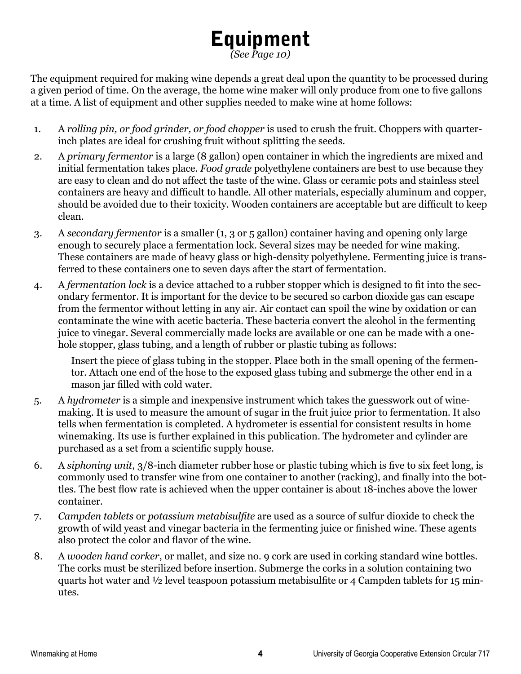## Equipment

*(See Page 10)*

The equipment required for making wine depends a great deal upon the quantity to be processed during a given period of time. On the average, the home wine maker will only produce from one to five gallons at a time. A list of equipment and other supplies needed to make wine at home follows:

- 1. A *rolling pin, or food grinder, or food chopper* is used to crush the fruit. Choppers with quarterinch plates are ideal for crushing fruit without splitting the seeds.
- 2. A *primary fermentor* is a large (8 gallon) open container in which the ingredients are mixed and initial fermentation takes place. *Food grade* polyethylene containers are best to use because they are easy to clean and do not affect the taste of the wine. Glass or ceramic pots and stainless steel containers are heavy and difficult to handle. All other materials, especially aluminum and copper, should be avoided due to their toxicity. Wooden containers are acceptable but are difficult to keep clean.
- 3. A *secondary fermentor* is a smaller (1, 3 or 5 gallon) container having and opening only large enough to securely place a fermentation lock. Several sizes may be needed for wine making. These containers are made of heavy glass or high-density polyethylene. Fermenting juice is transferred to these containers one to seven days after the start of fermentation.
- 4. A *fermentation lock* is a device attached to a rubber stopper which is designed to fit into the secondary fermentor. It is important for the device to be secured so carbon dioxide gas can escape from the fermentor without letting in any air. Air contact can spoil the wine by oxidation or can contaminate the wine with acetic bacteria. These bacteria convert the alcohol in the fermenting juice to vinegar. Several commercially made locks are available or one can be made with a onehole stopper, glass tubing, and a length of rubber or plastic tubing as follows:

Insert the piece of glass tubing in the stopper. Place both in the small opening of the fermentor. Attach one end of the hose to the exposed glass tubing and submerge the other end in a mason jar filled with cold water.

- 5. A *hydrometer* is a simple and inexpensive instrument which takes the guesswork out of winemaking. It is used to measure the amount of sugar in the fruit juice prior to fermentation. It also tells when fermentation is completed. A hydrometer is essential for consistent results in home winemaking. Its use is further explained in this publication. The hydrometer and cylinder are purchased as a set from a scientific supply house.
- 6. A *siphoning unit*, 3/8-inch diameter rubber hose or plastic tubing which is five to six feet long, is commonly used to transfer wine from one container to another (racking), and finally into the bottles. The best flow rate is achieved when the upper container is about 18-inches above the lower container.
- 7. *Campden tablets* or *potassium metabisulfite* are used as a source of sulfur dioxide to check the growth of wild yeast and vinegar bacteria in the fermenting juice or finished wine. These agents also protect the color and flavor of the wine.
- 8. A *wooden hand corker*, or mallet, and size no. 9 cork are used in corking standard wine bottles. The corks must be sterilized before insertion. Submerge the corks in a solution containing two quarts hot water and ½ level teaspoon potassium metabisulfite or 4 Campden tablets for 15 minutes.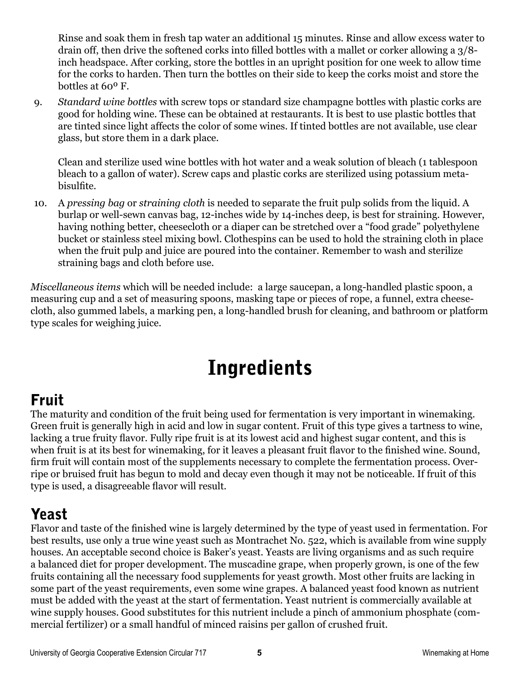Rinse and soak them in fresh tap water an additional 15 minutes. Rinse and allow excess water to drain off, then drive the softened corks into filled bottles with a mallet or corker allowing a 3/8 inch headspace. After corking, store the bottles in an upright position for one week to allow time for the corks to harden. Then turn the bottles on their side to keep the corks moist and store the bottles at 60º F.

9. *Standard wine bottles* with screw tops or standard size champagne bottles with plastic corks are good for holding wine. These can be obtained at restaurants. It is best to use plastic bottles that are tinted since light affects the color of some wines. If tinted bottles are not available, use clear glass, but store them in a dark place.

Clean and sterilize used wine bottles with hot water and a weak solution of bleach (1 tablespoon bleach to a gallon of water). Screw caps and plastic corks are sterilized using potassium metabisulfite.

10. A *pressing bag* or *straining cloth* is needed to separate the fruit pulp solids from the liquid. A burlap or well-sewn canvas bag, 12-inches wide by 14-inches deep, is best for straining. However, having nothing better, cheesecloth or a diaper can be stretched over a "food grade" polyethylene bucket or stainless steel mixing bowl. Clothespins can be used to hold the straining cloth in place when the fruit pulp and juice are poured into the container. Remember to wash and sterilize straining bags and cloth before use.

*Miscellaneous items* which will be needed include: a large saucepan, a long-handled plastic spoon, a measuring cup and a set of measuring spoons, masking tape or pieces of rope, a funnel, extra cheesecloth, also gummed labels, a marking pen, a long-handled brush for cleaning, and bathroom or platform type scales for weighing juice.

### Ingredients

#### Fruit

The maturity and condition of the fruit being used for fermentation is very important in winemaking. Green fruit is generally high in acid and low in sugar content. Fruit of this type gives a tartness to wine, lacking a true fruity flavor. Fully ripe fruit is at its lowest acid and highest sugar content, and this is when fruit is at its best for winemaking, for it leaves a pleasant fruit flavor to the finished wine. Sound, firm fruit will contain most of the supplements necessary to complete the fermentation process. Overripe or bruised fruit has begun to mold and decay even though it may not be noticeable. If fruit of this type is used, a disagreeable flavor will result.

#### Yeast

Flavor and taste of the finished wine is largely determined by the type of yeast used in fermentation. For best results, use only a true wine yeast such as Montrachet No. 522, which is available from wine supply houses. An acceptable second choice is Baker's yeast. Yeasts are living organisms and as such require a balanced diet for proper development. The muscadine grape, when properly grown, is one of the few fruits containing all the necessary food supplements for yeast growth. Most other fruits are lacking in some part of the yeast requirements, even some wine grapes. A balanced yeast food known as nutrient must be added with the yeast at the start of fermentation. Yeast nutrient is commercially available at wine supply houses. Good substitutes for this nutrient include a pinch of ammonium phosphate (commercial fertilizer) or a small handful of minced raisins per gallon of crushed fruit.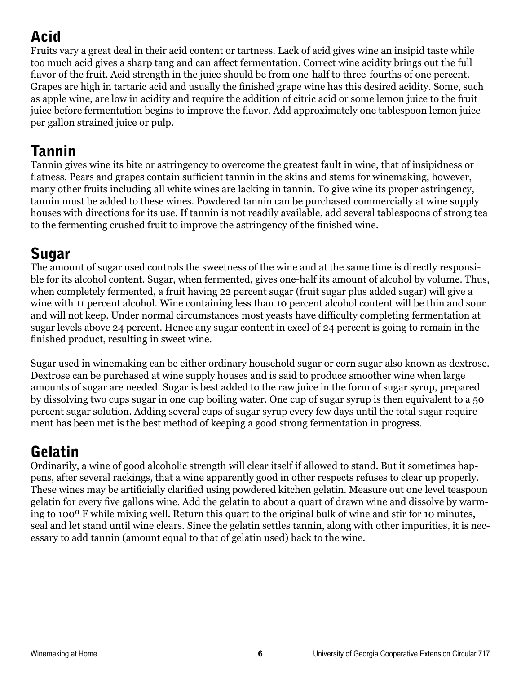### Acid

Fruits vary a great deal in their acid content or tartness. Lack of acid gives wine an insipid taste while too much acid gives a sharp tang and can affect fermentation. Correct wine acidity brings out the full flavor of the fruit. Acid strength in the juice should be from one-half to three-fourths of one percent. Grapes are high in tartaric acid and usually the finished grape wine has this desired acidity. Some, such as apple wine, are low in acidity and require the addition of citric acid or some lemon juice to the fruit juice before fermentation begins to improve the flavor. Add approximately one tablespoon lemon juice per gallon strained juice or pulp.

#### Tannin

Tannin gives wine its bite or astringency to overcome the greatest fault in wine, that of insipidness or flatness. Pears and grapes contain sufficient tannin in the skins and stems for winemaking, however, many other fruits including all white wines are lacking in tannin. To give wine its proper astringency, tannin must be added to these wines. Powdered tannin can be purchased commercially at wine supply houses with directions for its use. If tannin is not readily available, add several tablespoons of strong tea to the fermenting crushed fruit to improve the astringency of the finished wine.

#### Sugar

The amount of sugar used controls the sweetness of the wine and at the same time is directly responsible for its alcohol content. Sugar, when fermented, gives one-half its amount of alcohol by volume. Thus, when completely fermented, a fruit having 22 percent sugar (fruit sugar plus added sugar) will give a wine with 11 percent alcohol. Wine containing less than 10 percent alcohol content will be thin and sour and will not keep. Under normal circumstances most yeasts have difficulty completing fermentation at sugar levels above 24 percent. Hence any sugar content in excel of 24 percent is going to remain in the finished product, resulting in sweet wine.

Sugar used in winemaking can be either ordinary household sugar or corn sugar also known as dextrose. Dextrose can be purchased at wine supply houses and is said to produce smoother wine when large amounts of sugar are needed. Sugar is best added to the raw juice in the form of sugar syrup, prepared by dissolving two cups sugar in one cup boiling water. One cup of sugar syrup is then equivalent to a 50 percent sugar solution. Adding several cups of sugar syrup every few days until the total sugar requirement has been met is the best method of keeping a good strong fermentation in progress.

#### Gelatin

Ordinarily, a wine of good alcoholic strength will clear itself if allowed to stand. But it sometimes happens, after several rackings, that a wine apparently good in other respects refuses to clear up properly. These wines may be artificially clarified using powdered kitchen gelatin. Measure out one level teaspoon gelatin for every five gallons wine. Add the gelatin to about a quart of drawn wine and dissolve by warming to 100º F while mixing well. Return this quart to the original bulk of wine and stir for 10 minutes, seal and let stand until wine clears. Since the gelatin settles tannin, along with other impurities, it is necessary to add tannin (amount equal to that of gelatin used) back to the wine.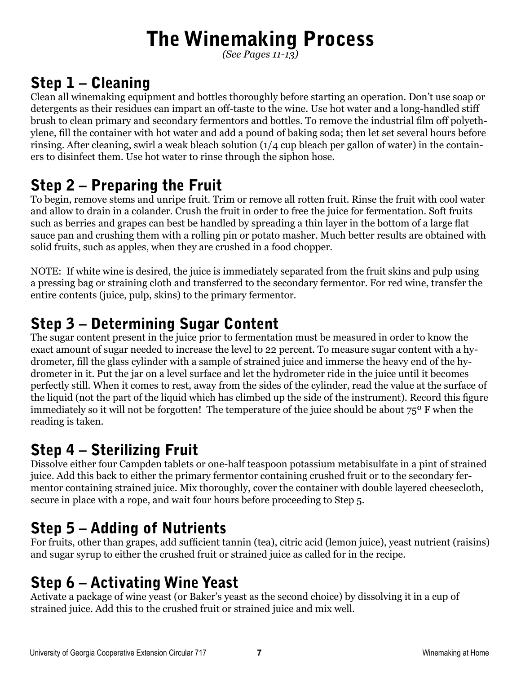### The Winemaking Process

*(See Pages 11-13)*

#### Step 1 – Cleaning

Clean all winemaking equipment and bottles thoroughly before starting an operation. Don't use soap or detergents as their residues can impart an off-taste to the wine. Use hot water and a long-handled stiff brush to clean primary and secondary fermentors and bottles. To remove the industrial film off polyethylene, fill the container with hot water and add a pound of baking soda; then let set several hours before rinsing. After cleaning, swirl a weak bleach solution (1/4 cup bleach per gallon of water) in the containers to disinfect them. Use hot water to rinse through the siphon hose.

#### Step 2 – Preparing the Fruit

To begin, remove stems and unripe fruit. Trim or remove all rotten fruit. Rinse the fruit with cool water and allow to drain in a colander. Crush the fruit in order to free the juice for fermentation. Soft fruits such as berries and grapes can best be handled by spreading a thin layer in the bottom of a large flat sauce pan and crushing them with a rolling pin or potato masher. Much better results are obtained with solid fruits, such as apples, when they are crushed in a food chopper.

NOTE: If white wine is desired, the juice is immediately separated from the fruit skins and pulp using a pressing bag or straining cloth and transferred to the secondary fermentor. For red wine, transfer the entire contents (juice, pulp, skins) to the primary fermentor.

#### Step 3 – Determining Sugar Content

The sugar content present in the juice prior to fermentation must be measured in order to know the exact amount of sugar needed to increase the level to 22 percent. To measure sugar content with a hydrometer, fill the glass cylinder with a sample of strained juice and immerse the heavy end of the hydrometer in it. Put the jar on a level surface and let the hydrometer ride in the juice until it becomes perfectly still. When it comes to rest, away from the sides of the cylinder, read the value at the surface of the liquid (not the part of the liquid which has climbed up the side of the instrument). Record this figure immediately so it will not be forgotten! The temperature of the juice should be about 75<sup>°</sup> F when the reading is taken.

#### Step 4 – Sterilizing Fruit

Dissolve either four Campden tablets or one-half teaspoon potassium metabisulfate in a pint of strained juice. Add this back to either the primary fermentor containing crushed fruit or to the secondary fermentor containing strained juice. Mix thoroughly, cover the container with double layered cheesecloth, secure in place with a rope, and wait four hours before proceeding to Step 5.

#### Step 5 – Adding of Nutrients

For fruits, other than grapes, add sufficient tannin (tea), citric acid (lemon juice), yeast nutrient (raisins) and sugar syrup to either the crushed fruit or strained juice as called for in the recipe.

#### Step 6 – Activating Wine Yeast

Activate a package of wine yeast (or Baker's yeast as the second choice) by dissolving it in a cup of strained juice. Add this to the crushed fruit or strained juice and mix well.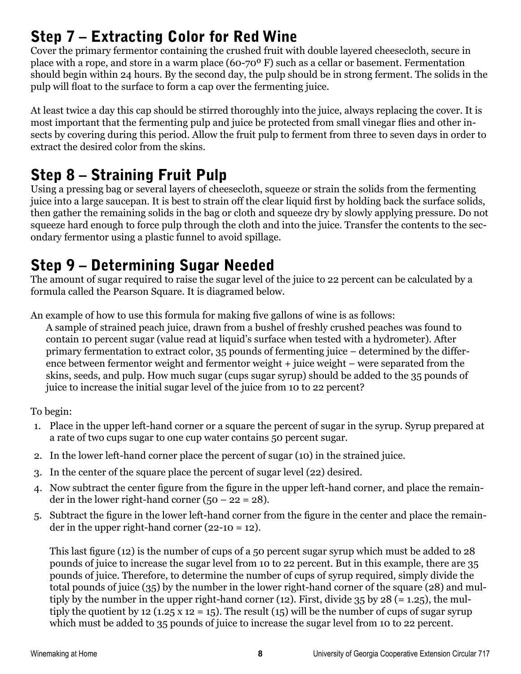#### Step 7 – Extracting Color for Red Wine

Cover the primary fermentor containing the crushed fruit with double layered cheesecloth, secure in place with a rope, and store in a warm place (60-70º F) such as a cellar or basement. Fermentation should begin within 24 hours. By the second day, the pulp should be in strong ferment. The solids in the pulp will float to the surface to form a cap over the fermenting juice.

At least twice a day this cap should be stirred thoroughly into the juice, always replacing the cover. It is most important that the fermenting pulp and juice be protected from small vinegar flies and other insects by covering during this period. Allow the fruit pulp to ferment from three to seven days in order to extract the desired color from the skins.

#### Step 8 – Straining Fruit Pulp

Using a pressing bag or several layers of cheesecloth, squeeze or strain the solids from the fermenting juice into a large saucepan. It is best to strain off the clear liquid first by holding back the surface solids, then gather the remaining solids in the bag or cloth and squeeze dry by slowly applying pressure. Do not squeeze hard enough to force pulp through the cloth and into the juice. Transfer the contents to the secondary fermentor using a plastic funnel to avoid spillage.

#### Step 9 – Determining Sugar Needed

The amount of sugar required to raise the sugar level of the juice to 22 percent can be calculated by a formula called the Pearson Square. It is diagramed below.

An example of how to use this formula for making five gallons of wine is as follows:

A sample of strained peach juice, drawn from a bushel of freshly crushed peaches was found to contain 10 percent sugar (value read at liquid's surface when tested with a hydrometer). After primary fermentation to extract color, 35 pounds of fermenting juice – determined by the difference between fermentor weight and fermentor weight + juice weight – were separated from the skins, seeds, and pulp. How much sugar (cups sugar syrup) should be added to the 35 pounds of juice to increase the initial sugar level of the juice from 10 to 22 percent?

To begin:

- 1. Place in the upper left-hand corner or a square the percent of sugar in the syrup. Syrup prepared at a rate of two cups sugar to one cup water contains 50 percent sugar.
- 2. In the lower left-hand corner place the percent of sugar (10) in the strained juice.
- 3. In the center of the square place the percent of sugar level (22) desired.
- 4. Now subtract the center figure from the figure in the upper left-hand corner, and place the remainder in the lower right-hand corner  $(50 - 22 = 28)$ .
- 5. Subtract the figure in the lower left-hand corner from the figure in the center and place the remainder in the upper right-hand corner  $(22-10 = 12)$ .

This last figure (12) is the number of cups of a 50 percent sugar syrup which must be added to 28 pounds of juice to increase the sugar level from 10 to 22 percent. But in this example, there are 35 pounds of juice. Therefore, to determine the number of cups of syrup required, simply divide the total pounds of juice (35) by the number in the lower right-hand corner of the square (28) and multiply by the number in the upper right-hand corner (12). First, divide  $35$  by  $28$  (= 1.25), the multiply the quotient by 12 (1.25 x 12 = 15). The result (15) will be the number of cups of sugar syrup which must be added to 35 pounds of juice to increase the sugar level from 10 to 22 percent.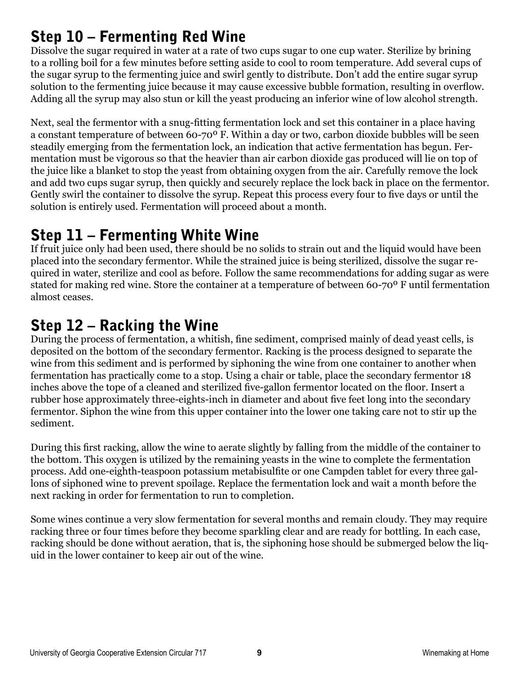#### Step 10 – Fermenting Red Wine

Dissolve the sugar required in water at a rate of two cups sugar to one cup water. Sterilize by brining to a rolling boil for a few minutes before setting aside to cool to room temperature. Add several cups of the sugar syrup to the fermenting juice and swirl gently to distribute. Don't add the entire sugar syrup solution to the fermenting juice because it may cause excessive bubble formation, resulting in overflow. Adding all the syrup may also stun or kill the yeast producing an inferior wine of low alcohol strength.

Next, seal the fermentor with a snug-fitting fermentation lock and set this container in a place having a constant temperature of between 60-70º F. Within a day or two, carbon dioxide bubbles will be seen steadily emerging from the fermentation lock, an indication that active fermentation has begun. Fermentation must be vigorous so that the heavier than air carbon dioxide gas produced will lie on top of the juice like a blanket to stop the yeast from obtaining oxygen from the air. Carefully remove the lock and add two cups sugar syrup, then quickly and securely replace the lock back in place on the fermentor. Gently swirl the container to dissolve the syrup. Repeat this process every four to five days or until the solution is entirely used. Fermentation will proceed about a month.

#### Step 11 – Fermenting White Wine

If fruit juice only had been used, there should be no solids to strain out and the liquid would have been placed into the secondary fermentor. While the strained juice is being sterilized, dissolve the sugar required in water, sterilize and cool as before. Follow the same recommendations for adding sugar as were stated for making red wine. Store the container at a temperature of between 60-70º F until fermentation almost ceases.

#### Step 12 – Racking the Wine

During the process of fermentation, a whitish, fine sediment, comprised mainly of dead yeast cells, is deposited on the bottom of the secondary fermentor. Racking is the process designed to separate the wine from this sediment and is performed by siphoning the wine from one container to another when fermentation has practically come to a stop. Using a chair or table, place the secondary fermentor 18 inches above the tope of a cleaned and sterilized five-gallon fermentor located on the floor. Insert a rubber hose approximately three-eights-inch in diameter and about five feet long into the secondary fermentor. Siphon the wine from this upper container into the lower one taking care not to stir up the sediment.

During this first racking, allow the wine to aerate slightly by falling from the middle of the container to the bottom. This oxygen is utilized by the remaining yeasts in the wine to complete the fermentation process. Add one-eighth-teaspoon potassium metabisulfite or one Campden tablet for every three gallons of siphoned wine to prevent spoilage. Replace the fermentation lock and wait a month before the next racking in order for fermentation to run to completion.

Some wines continue a very slow fermentation for several months and remain cloudy. They may require racking three or four times before they become sparkling clear and are ready for bottling. In each case, racking should be done without aeration, that is, the siphoning hose should be submerged below the liquid in the lower container to keep air out of the wine.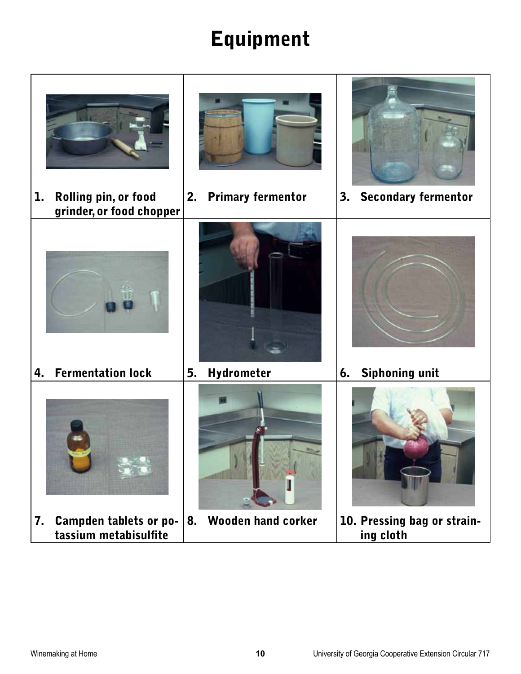### Equipment

| Rolling pin, or food<br>ı.<br>grinder, or food chopper       | <b>Primary fermentor</b><br>2. | 3. Secondary fermentor                   |
|--------------------------------------------------------------|--------------------------------|------------------------------------------|
| <b>Fermentation lock</b><br>4.                               | Hydrometer<br>5.               | <b>Siphoning unit</b><br>6.              |
|                                                              |                                |                                          |
|                                                              |                                |                                          |
| <b>Campden tablets or po-</b><br>7.<br>tassium metabisulfite | 8. Wooden hand corker          | 10. Pressing bag or strain-<br>ing cloth |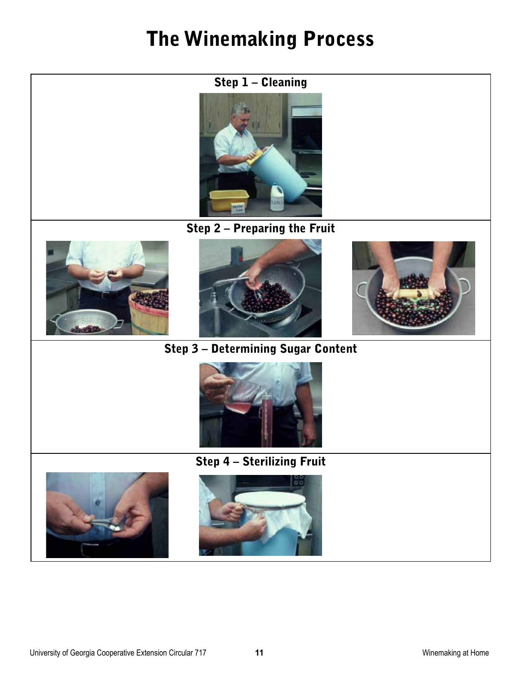### The Winemaking Process



Step 2 – Preparing the Fruit







Step 3 – Determining Sugar Content





#### Step 4 – Sterilizing Fruit

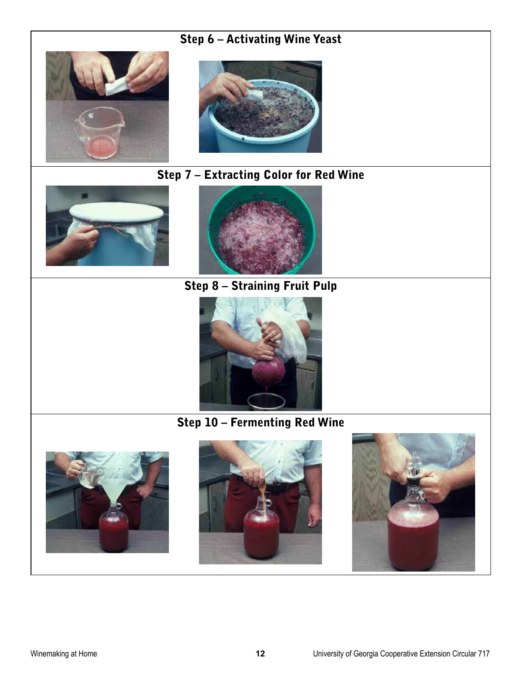#### Step 6 – Activating Wine Yeast





#### Step 7 – Extracting Color for Red Wine





Step 8 – Straining Fruit Pulp



#### Step 10 – Fermenting Red Wine





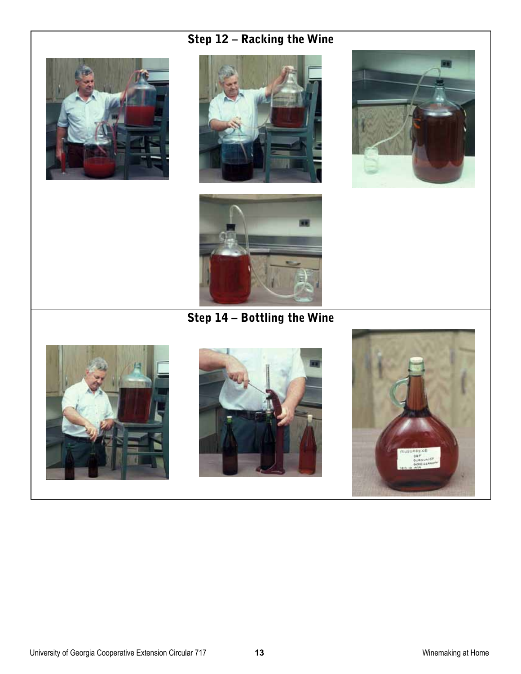#### Step 12 – Racking the Wine









Step 14 – Bottling the Wine





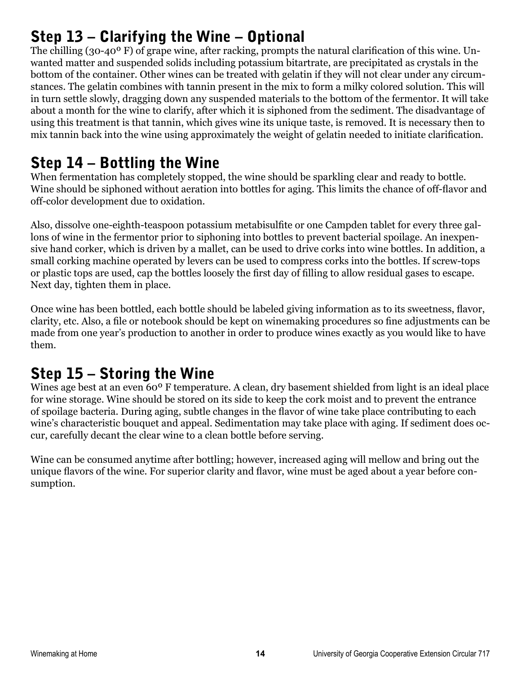#### Step 13 – Clarifying the Wine – Optional

The chilling (30-40º F) of grape wine, after racking, prompts the natural clarification of this wine. Unwanted matter and suspended solids including potassium bitartrate, are precipitated as crystals in the bottom of the container. Other wines can be treated with gelatin if they will not clear under any circumstances. The gelatin combines with tannin present in the mix to form a milky colored solution. This will in turn settle slowly, dragging down any suspended materials to the bottom of the fermentor. It will take about a month for the wine to clarify, after which it is siphoned from the sediment. The disadvantage of using this treatment is that tannin, which gives wine its unique taste, is removed. It is necessary then to mix tannin back into the wine using approximately the weight of gelatin needed to initiate clarification.

#### Step 14 – Bottling the Wine

When fermentation has completely stopped, the wine should be sparkling clear and ready to bottle. Wine should be siphoned without aeration into bottles for aging. This limits the chance of off-flavor and off-color development due to oxidation.

Also, dissolve one-eighth-teaspoon potassium metabisulfite or one Campden tablet for every three gallons of wine in the fermentor prior to siphoning into bottles to prevent bacterial spoilage. An inexpensive hand corker, which is driven by a mallet, can be used to drive corks into wine bottles. In addition, a small corking machine operated by levers can be used to compress corks into the bottles. If screw-tops or plastic tops are used, cap the bottles loosely the first day of filling to allow residual gases to escape. Next day, tighten them in place.

Once wine has been bottled, each bottle should be labeled giving information as to its sweetness, flavor, clarity, etc. Also, a file or notebook should be kept on winemaking procedures so fine adjustments can be made from one year's production to another in order to produce wines exactly as you would like to have them.

#### Step 15 – Storing the Wine

Wines age best at an even 60<sup>°</sup> F temperature. A clean, dry basement shielded from light is an ideal place for wine storage. Wine should be stored on its side to keep the cork moist and to prevent the entrance of spoilage bacteria. During aging, subtle changes in the flavor of wine take place contributing to each wine's characteristic bouquet and appeal. Sedimentation may take place with aging. If sediment does occur, carefully decant the clear wine to a clean bottle before serving.

Wine can be consumed anytime after bottling; however, increased aging will mellow and bring out the unique flavors of the wine. For superior clarity and flavor, wine must be aged about a year before consumption.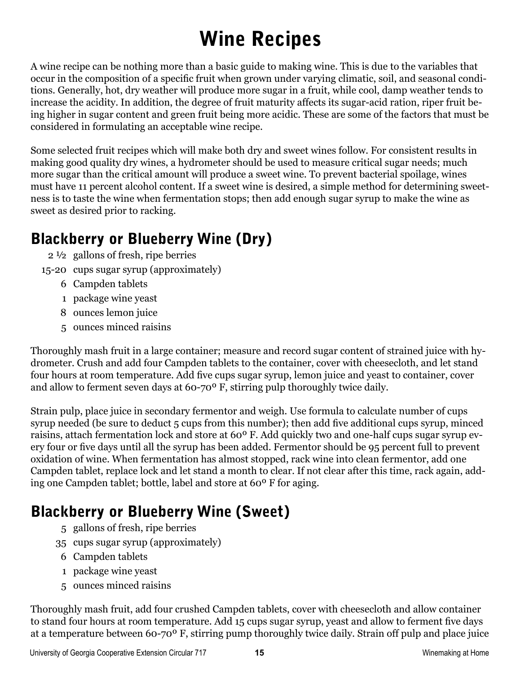### Wine Recipes

A wine recipe can be nothing more than a basic guide to making wine. This is due to the variables that occur in the composition of a specific fruit when grown under varying climatic, soil, and seasonal conditions. Generally, hot, dry weather will produce more sugar in a fruit, while cool, damp weather tends to increase the acidity. In addition, the degree of fruit maturity affects its sugar-acid ration, riper fruit being higher in sugar content and green fruit being more acidic. These are some of the factors that must be considered in formulating an acceptable wine recipe.

Some selected fruit recipes which will make both dry and sweet wines follow. For consistent results in making good quality dry wines, a hydrometer should be used to measure critical sugar needs; much more sugar than the critical amount will produce a sweet wine. To prevent bacterial spoilage, wines must have 11 percent alcohol content. If a sweet wine is desired, a simple method for determining sweetness is to taste the wine when fermentation stops; then add enough sugar syrup to make the wine as sweet as desired prior to racking.

#### Blackberry or Blueberry Wine (Dry)

- 2 ½ gallons of fresh, ripe berries
- 15-20 cups sugar syrup (approximately)
	- 6 Campden tablets
	- 1 package wine yeast
	- 8 ounces lemon juice
	- 5 ounces minced raisins

Thoroughly mash fruit in a large container; measure and record sugar content of strained juice with hydrometer. Crush and add four Campden tablets to the container, cover with cheesecloth, and let stand four hours at room temperature. Add five cups sugar syrup, lemon juice and yeast to container, cover and allow to ferment seven days at 60-70º F, stirring pulp thoroughly twice daily.

Strain pulp, place juice in secondary fermentor and weigh. Use formula to calculate number of cups syrup needed (be sure to deduct 5 cups from this number); then add five additional cups syrup, minced raisins, attach fermentation lock and store at 60º F. Add quickly two and one-half cups sugar syrup every four or five days until all the syrup has been added. Fermentor should be 95 percent full to prevent oxidation of wine. When fermentation has almost stopped, rack wine into clean fermentor, add one Campden tablet, replace lock and let stand a month to clear. If not clear after this time, rack again, adding one Campden tablet; bottle, label and store at 60º F for aging.

#### Blackberry or Blueberry Wine (Sweet)

- 5 gallons of fresh, ripe berries
- 35 cups sugar syrup (approximately)
- 6 Campden tablets
- 1 package wine yeast
- 5 ounces minced raisins

Thoroughly mash fruit, add four crushed Campden tablets, cover with cheesecloth and allow container to stand four hours at room temperature. Add 15 cups sugar syrup, yeast and allow to ferment five days at a temperature between 60-70º F, stirring pump thoroughly twice daily. Strain off pulp and place juice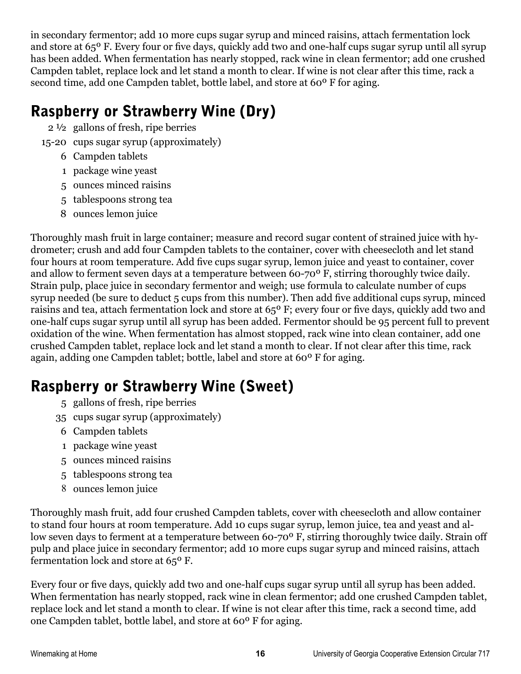in secondary fermentor; add 10 more cups sugar syrup and minced raisins, attach fermentation lock and store at 65º F. Every four or five days, quickly add two and one-half cups sugar syrup until all syrup has been added. When fermentation has nearly stopped, rack wine in clean fermentor; add one crushed Campden tablet, replace lock and let stand a month to clear. If wine is not clear after this time, rack a second time, add one Campden tablet, bottle label, and store at 60º F for aging.

#### Raspberry or Strawberry Wine (Dry)

- 2 ½ gallons of fresh, ripe berries
- 15-20 cups sugar syrup (approximately)
	- 6 Campden tablets
	- 1 package wine yeast
	- 5 ounces minced raisins
	- 5 tablespoons strong tea
	- 8 ounces lemon juice

Thoroughly mash fruit in large container; measure and record sugar content of strained juice with hydrometer; crush and add four Campden tablets to the container, cover with cheesecloth and let stand four hours at room temperature. Add five cups sugar syrup, lemon juice and yeast to container, cover and allow to ferment seven days at a temperature between 60-70º F, stirring thoroughly twice daily. Strain pulp, place juice in secondary fermentor and weigh; use formula to calculate number of cups syrup needed (be sure to deduct 5 cups from this number). Then add five additional cups syrup, minced raisins and tea, attach fermentation lock and store at 65º F; every four or five days, quickly add two and one-half cups sugar syrup until all syrup has been added. Fermentor should be 95 percent full to prevent oxidation of the wine. When fermentation has almost stopped, rack wine into clean container, add one crushed Campden tablet, replace lock and let stand a month to clear. If not clear after this time, rack again, adding one Campden tablet; bottle, label and store at 60º F for aging.

#### Raspberry or Strawberry Wine (Sweet)

- 5 gallons of fresh, ripe berries
- 35 cups sugar syrup (approximately)
- 6 Campden tablets
- 1 package wine yeast
- 5 ounces minced raisins
- 5 tablespoons strong tea
- 8 ounces lemon juice

Thoroughly mash fruit, add four crushed Campden tablets, cover with cheesecloth and allow container to stand four hours at room temperature. Add 10 cups sugar syrup, lemon juice, tea and yeast and allow seven days to ferment at a temperature between 60-70º F, stirring thoroughly twice daily. Strain off pulp and place juice in secondary fermentor; add 10 more cups sugar syrup and minced raisins, attach fermentation lock and store at 65º F.

Every four or five days, quickly add two and one-half cups sugar syrup until all syrup has been added. When fermentation has nearly stopped, rack wine in clean fermentor; add one crushed Campden tablet, replace lock and let stand a month to clear. If wine is not clear after this time, rack a second time, add one Campden tablet, bottle label, and store at 60º F for aging.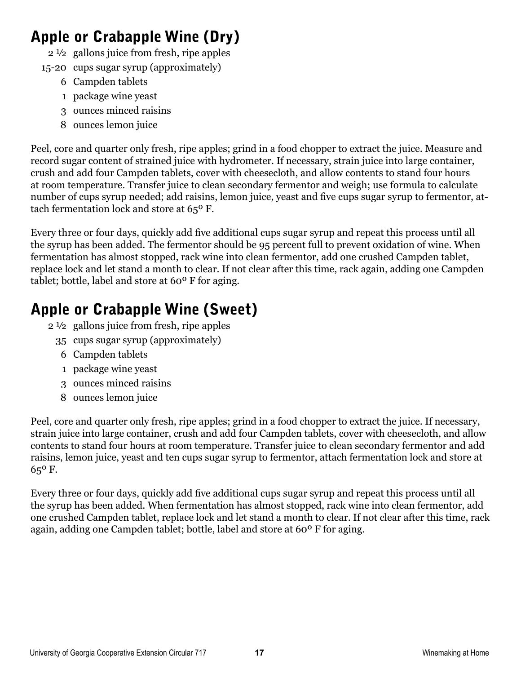#### Apple or Crabapple Wine (Dry)

- 2 ½ gallons juice from fresh, ripe apples
- 15-20 cups sugar syrup (approximately)
	- 6 Campden tablets
	- 1 package wine yeast
	- 3 ounces minced raisins
	- 8 ounces lemon juice

Peel, core and quarter only fresh, ripe apples; grind in a food chopper to extract the juice. Measure and record sugar content of strained juice with hydrometer. If necessary, strain juice into large container, crush and add four Campden tablets, cover with cheesecloth, and allow contents to stand four hours at room temperature. Transfer juice to clean secondary fermentor and weigh; use formula to calculate number of cups syrup needed; add raisins, lemon juice, yeast and five cups sugar syrup to fermentor, attach fermentation lock and store at 65º F.

Every three or four days, quickly add five additional cups sugar syrup and repeat this process until all the syrup has been added. The fermentor should be 95 percent full to prevent oxidation of wine. When fermentation has almost stopped, rack wine into clean fermentor, add one crushed Campden tablet, replace lock and let stand a month to clear. If not clear after this time, rack again, adding one Campden tablet; bottle, label and store at 60º F for aging.

#### Apple or Crabapple Wine (Sweet)

- 2 ½ gallons juice from fresh, ripe apples
	- 35 cups sugar syrup (approximately)
	- 6 Campden tablets
	- 1 package wine yeast
	- 3 ounces minced raisins
	- 8 ounces lemon juice

Peel, core and quarter only fresh, ripe apples; grind in a food chopper to extract the juice. If necessary, strain juice into large container, crush and add four Campden tablets, cover with cheesecloth, and allow contents to stand four hours at room temperature. Transfer juice to clean secondary fermentor and add raisins, lemon juice, yeast and ten cups sugar syrup to fermentor, attach fermentation lock and store at 65º F.

Every three or four days, quickly add five additional cups sugar syrup and repeat this process until all the syrup has been added. When fermentation has almost stopped, rack wine into clean fermentor, add one crushed Campden tablet, replace lock and let stand a month to clear. If not clear after this time, rack again, adding one Campden tablet; bottle, label and store at 60º F for aging.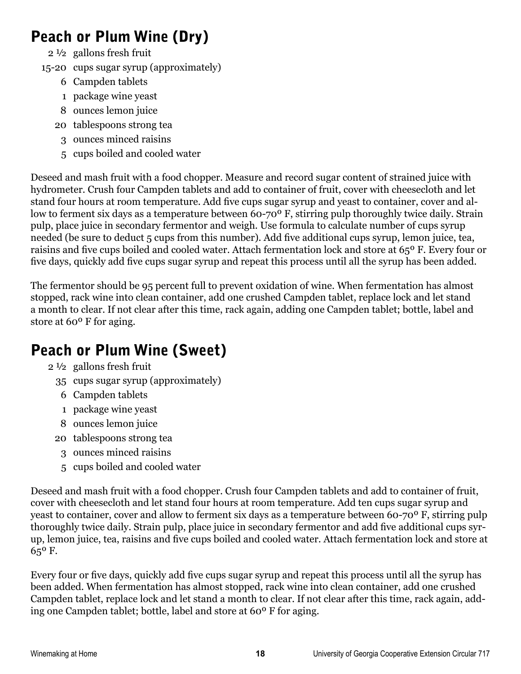#### Peach or Plum Wine (Dry)

- 2 ½ gallons fresh fruit
- 15-20 cups sugar syrup (approximately)
	- 6 Campden tablets
	- 1 package wine yeast
	- 8 ounces lemon juice
	- 20 tablespoons strong tea
		- 3 ounces minced raisins
		- 5 cups boiled and cooled water

Deseed and mash fruit with a food chopper. Measure and record sugar content of strained juice with hydrometer. Crush four Campden tablets and add to container of fruit, cover with cheesecloth and let stand four hours at room temperature. Add five cups sugar syrup and yeast to container, cover and allow to ferment six days as a temperature between 60-70º F, stirring pulp thoroughly twice daily. Strain pulp, place juice in secondary fermentor and weigh. Use formula to calculate number of cups syrup needed (be sure to deduct 5 cups from this number). Add five additional cups syrup, lemon juice, tea, raisins and five cups boiled and cooled water. Attach fermentation lock and store at 65º F. Every four or five days, quickly add five cups sugar syrup and repeat this process until all the syrup has been added.

The fermentor should be 95 percent full to prevent oxidation of wine. When fermentation has almost stopped, rack wine into clean container, add one crushed Campden tablet, replace lock and let stand a month to clear. If not clear after this time, rack again, adding one Campden tablet; bottle, label and store at 60º F for aging.

#### Peach or Plum Wine (Sweet)

- 2 ½ gallons fresh fruit
	- 35 cups sugar syrup (approximately)
	- 6 Campden tablets
	- 1 package wine yeast
	- 8 ounces lemon juice
	- 20 tablespoons strong tea
		- 3 ounces minced raisins
		- 5 cups boiled and cooled water

Deseed and mash fruit with a food chopper. Crush four Campden tablets and add to container of fruit, cover with cheesecloth and let stand four hours at room temperature. Add ten cups sugar syrup and yeast to container, cover and allow to ferment six days as a temperature between 60-70º F, stirring pulp thoroughly twice daily. Strain pulp, place juice in secondary fermentor and add five additional cups syrup, lemon juice, tea, raisins and five cups boiled and cooled water. Attach fermentation lock and store at 65º F.

Every four or five days, quickly add five cups sugar syrup and repeat this process until all the syrup has been added. When fermentation has almost stopped, rack wine into clean container, add one crushed Campden tablet, replace lock and let stand a month to clear. If not clear after this time, rack again, adding one Campden tablet; bottle, label and store at 60º F for aging.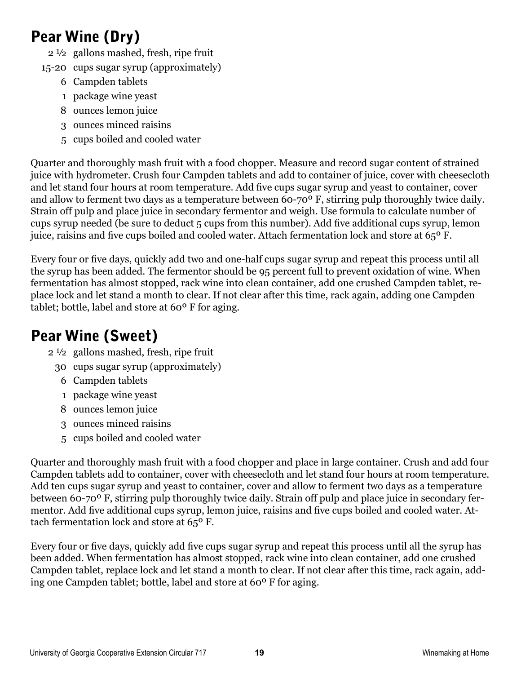#### Pear Wine (Dry)

- 2 ½ gallons mashed, fresh, ripe fruit
- 15-20 cups sugar syrup (approximately)
	- 6 Campden tablets
	- 1 package wine yeast
	- 8 ounces lemon juice
	- 3 ounces minced raisins
	- 5 cups boiled and cooled water

Quarter and thoroughly mash fruit with a food chopper. Measure and record sugar content of strained juice with hydrometer. Crush four Campden tablets and add to container of juice, cover with cheesecloth and let stand four hours at room temperature. Add five cups sugar syrup and yeast to container, cover and allow to ferment two days as a temperature between 60-70º F, stirring pulp thoroughly twice daily. Strain off pulp and place juice in secondary fermentor and weigh. Use formula to calculate number of cups syrup needed (be sure to deduct 5 cups from this number). Add five additional cups syrup, lemon juice, raisins and five cups boiled and cooled water. Attach fermentation lock and store at 65º F.

Every four or five days, quickly add two and one-half cups sugar syrup and repeat this process until all the syrup has been added. The fermentor should be 95 percent full to prevent oxidation of wine. When fermentation has almost stopped, rack wine into clean container, add one crushed Campden tablet, replace lock and let stand a month to clear. If not clear after this time, rack again, adding one Campden tablet; bottle, label and store at 60º F for aging.

#### Pear Wine (Sweet)

- 2 ½ gallons mashed, fresh, ripe fruit
	- 30 cups sugar syrup (approximately)
		- 6 Campden tablets
		- 1 package wine yeast
		- 8 ounces lemon juice
		- 3 ounces minced raisins
		- 5 cups boiled and cooled water

Quarter and thoroughly mash fruit with a food chopper and place in large container. Crush and add four Campden tablets add to container, cover with cheesecloth and let stand four hours at room temperature. Add ten cups sugar syrup and yeast to container, cover and allow to ferment two days as a temperature between 60-70º F, stirring pulp thoroughly twice daily. Strain off pulp and place juice in secondary fermentor. Add five additional cups syrup, lemon juice, raisins and five cups boiled and cooled water. Attach fermentation lock and store at 65º F.

Every four or five days, quickly add five cups sugar syrup and repeat this process until all the syrup has been added. When fermentation has almost stopped, rack wine into clean container, add one crushed Campden tablet, replace lock and let stand a month to clear. If not clear after this time, rack again, adding one Campden tablet; bottle, label and store at 60º F for aging.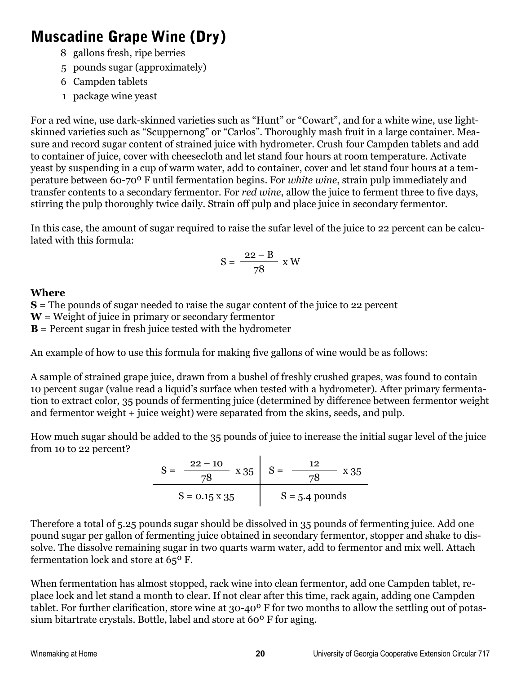#### Muscadine Grape Wine (Dry)

- 8 gallons fresh, ripe berries
- 5 pounds sugar (approximately)
- 6 Campden tablets
- 1 package wine yeast

For a red wine, use dark-skinned varieties such as "Hunt" or "Cowart", and for a white wine, use lightskinned varieties such as "Scuppernong" or "Carlos". Thoroughly mash fruit in a large container. Measure and record sugar content of strained juice with hydrometer. Crush four Campden tablets and add to container of juice, cover with cheesecloth and let stand four hours at room temperature. Activate yeast by suspending in a cup of warm water, add to container, cover and let stand four hours at a temperature between 60-70º F until fermentation begins. For *white wine*, strain pulp immediately and transfer contents to a secondary fermentor. For *red wine*, allow the juice to ferment three to five days, stirring the pulp thoroughly twice daily. Strain off pulp and place juice in secondary fermentor.

In this case, the amount of sugar required to raise the sufar level of the juice to 22 percent can be calculated with this formula:

$$
S = \frac{22 - B}{78} x W
$$

#### **Where**

**S** = The pounds of sugar needed to raise the sugar content of the juice to 22 percent **W** = Weight of juice in primary or secondary fermentor **B** = Percent sugar in fresh juice tested with the hydrometer

An example of how to use this formula for making five gallons of wine would be as follows:

A sample of strained grape juice, drawn from a bushel of freshly crushed grapes, was found to contain 10 percent sugar (value read a liquid's surface when tested with a hydrometer). After primary fermentation to extract color, 35 pounds of fermenting juice (determined by difference between fermentor weight and fermentor weight + juice weight) were separated from the skins, seeds, and pulp.

How much sugar should be added to the 35 pounds of juice to increase the initial sugar level of the juice from 10 to 22 percent?

$$
S = \frac{22 - 10}{78} \times 35
$$
 
$$
S = \frac{12}{78} \times 35
$$
  
 
$$
S = 0.15 \times 35
$$
 
$$
S = 5.4 \text{ pounds}
$$

Therefore a total of 5.25 pounds sugar should be dissolved in 35 pounds of fermenting juice. Add one pound sugar per gallon of fermenting juice obtained in secondary fermentor, stopper and shake to dissolve. The dissolve remaining sugar in two quarts warm water, add to fermentor and mix well. Attach fermentation lock and store at 65º F.

When fermentation has almost stopped, rack wine into clean fermentor, add one Campden tablet, replace lock and let stand a month to clear. If not clear after this time, rack again, adding one Campden tablet. For further clarification, store wine at 30-40º F for two months to allow the settling out of potassium bitartrate crystals. Bottle, label and store at 60º F for aging.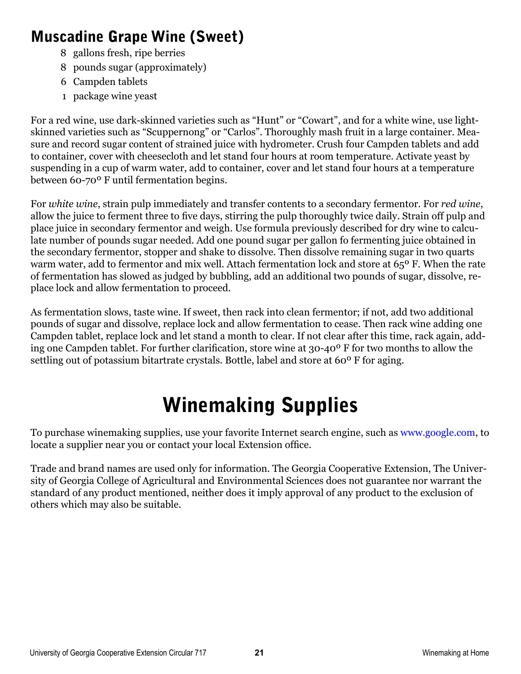#### Muscadine Grape Wine (Sweet)

- 8 gallons fresh, ripe berries
- 8 pounds sugar (approximately)
- 6 Campden tablets
- 1 package wine yeast

For a red wine, use dark-skinned varieties such as "Hunt" or "Cowart", and for a white wine, use lightskinned varieties such as "Scuppernong" or "Carlos". Thoroughly mash fruit in a large container. Measure and record sugar content of strained juice with hydrometer. Crush four Campden tablets and add to container, cover with cheesecloth and let stand four hours at room temperature. Activate yeast by suspending in a cup of warm water, add to container, cover and let stand four hours at a temperature between 60-70º F until fermentation begins.

For *white wine*, strain pulp immediately and transfer contents to a secondary fermentor. For *red wine*, allow the juice to ferment three to five days, stirring the pulp thoroughly twice daily. Strain off pulp and place juice in secondary fermentor and weigh. Use formula previously described for dry wine to calculate number of pounds sugar needed. Add one pound sugar per gallon fo fermenting juice obtained in the secondary fermentor, stopper and shake to dissolve. Then dissolve remaining sugar in two quarts warm water, add to fermentor and mix well. Attach fermentation lock and store at 65° F. When the rate of fermentation has slowed as judged by bubbling, add an additional two pounds of sugar, dissolve, replace lock and allow fermentation to proceed.

As fermentation slows, taste wine. If sweet, then rack into clean fermentor; if not, add two additional pounds of sugar and dissolve, replace lock and allow fermentation to cease. Then rack wine adding one Campden tablet, replace lock and let stand a month to clear. If not clear after this time, rack again, adding one Campden tablet. For further clarification, store wine at 30-40º F for two months to allow the settling out of potassium bitartrate crystals. Bottle, label and store at 60<sup>°</sup> F for aging.

### Winemaking Supplies

To purchase winemaking supplies, use your favorite Internet search engine, such as www.google.com, to locate a supplier near you or contact your local Extension office.

Trade and brand names are used only for information. The Georgia Cooperative Extension, The University of Georgia College of Agricultural and Environmental Sciences does not guarantee nor warrant the standard of any product mentioned, neither does it imply approval of any product to the exclusion of others which may also be suitable.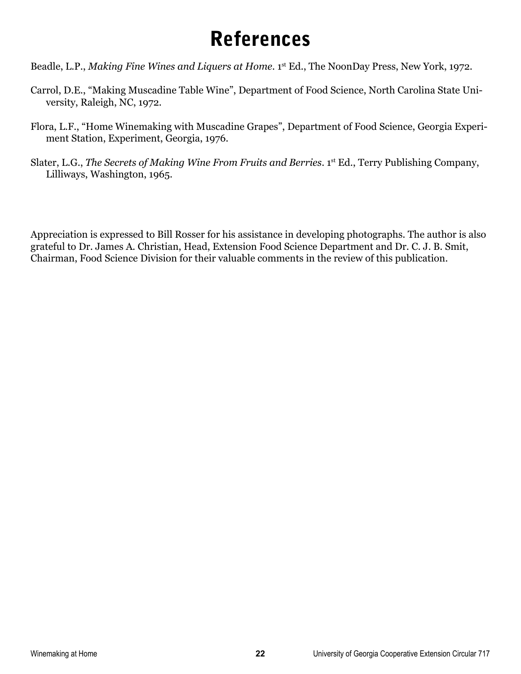### References

Beadle, L.P., *Making Fine Wines and Liquers at Home*. 1st Ed., The NoonDay Press, New York, 1972.

- Carrol, D.E., "Making Muscadine Table Wine", Department of Food Science, North Carolina State University, Raleigh, NC, 1972.
- Flora, L.F., "Home Winemaking with Muscadine Grapes", Department of Food Science, Georgia Experiment Station, Experiment, Georgia, 1976.
- Slater, L.G., *The Secrets of Making Wine From Fruits and Berries*. 1<sup>st</sup> Ed., Terry Publishing Company, Lilliways, Washington, 1965.

Appreciation is expressed to Bill Rosser for his assistance in developing photographs. The author is also grateful to Dr. James A. Christian, Head, Extension Food Science Department and Dr. C. J. B. Smit, Chairman, Food Science Division for their valuable comments in the review of this publication.